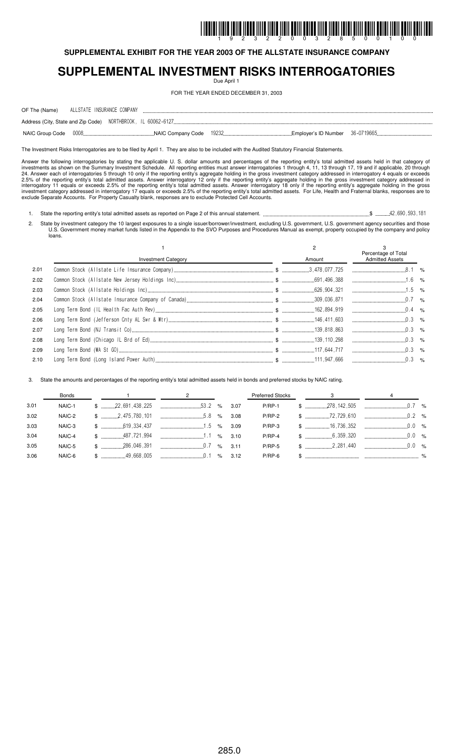# I INDINI İLDIN ÖLLÜ İLDUĞILIN İLDIN İLDIL ÖLLÜ YALDI İLDIL İLDIL İLDIL ÖLLÜ ÖLLÜ ÖLLÜ İLDIL ÖLLÜ KULLUDU

**SUPPLEMENTAL EXHIBIT FOR THE YEAR 2003 OF THE ALLSTATE INSURANCE COMPANY**

## **SUPPLEMENTAL INVESTMENT RISKS INTERROGATORIES**

Due April 1

FOR THE YEAR ENDED DECEMBER 31, 2003

| OF The (Name)                                                | ALLSTATE INSURANCE COMPANY |   |   |
|--------------------------------------------------------------|----------------------------|---|---|
| Address (City, State and Zip Code) NORTHBROOK, IL 60062-6127 |                            |   |   |
|                                                              | .                          | . | . |

NAIC Group Code NAIC Company Code Employer's ID Number

The Investment Risks Interrogatories are to be filed by April 1. They are also to be included with the Audited Statutory Financial Statements.

Answer the following interrogatories by stating the applicable U. S. dollar amounts and percentages of the reporting entity's total admitted assets held in that category of investments as shown on the Summary Investment Schedule. All reporting entities must answer interrogatories 1 through 4, 11, 13 through 17, 19 and if applicable, 20 through 24. Answer each of interrogatories 5 through 10 only if the reporting entity's aggregate holding in the gross investment category addressed in interrogatory 4 equals or exceeds 2.5% of the reporting entity's total admitted assets. Answer interrogatory 12 only if the reporting entity's aggregate holding in the gross investment category addressed in interrogatory 11 equals or exceeds 2.5% of the reporting entity's total admitted assets. Answer interrogatory 18 only if the reporting entity's aggregate holding in the gross investment category addressed in interrogatory 17 equals or exceeds 2.5% of the reporting entity's total admitted assets. For Life, Health and Fraternal blanks, responses are to exclude Separate Accounts. For Property Casualty blank, responses are to exclude Protected Cell Accounts.

1. State the reporting entity's total admitted assets as reported on Page 2 of this annual statement. \$

2. State by investment category the 10 largest exposures to a single issuer/borrower/investment, excluding U.S. government, U.S. government agency securities and those U.S. Government money market funds listed in the Appendix to the SVO Purposes and Procedures Manual as exempt, property occupied by the company and policy loans.

|      |                            |        | Percentage of Total    |  |
|------|----------------------------|--------|------------------------|--|
|      | <b>Investment Category</b> | Amount | <b>Admitted Assets</b> |  |
| 2.01 |                            |        |                        |  |
| 2.02 |                            |        |                        |  |
| 2.03 |                            |        |                        |  |
| 2.04 |                            |        |                        |  |
| 2.05 |                            |        |                        |  |
| 2.06 |                            |        |                        |  |
| 2.07 |                            |        |                        |  |
| 2.08 |                            |        |                        |  |
| 2.09 |                            |        |                        |  |
| 2.10 |                            |        |                        |  |

3. State the amounts and percentages of the reporting entity's total admitted assets held in bonds and preferred stocks by NAIC rating.

|      | Bonds  |  | $1$ and $2$                                                                                                                                                                                                                                                                                                                     |  |          | Preferred Stocks 3 4                    |  |
|------|--------|--|---------------------------------------------------------------------------------------------------------------------------------------------------------------------------------------------------------------------------------------------------------------------------------------------------------------------------------|--|----------|-----------------------------------------|--|
| 3.01 | NAIC-1 |  | $\frac{1}{2}$ $\frac{1}{2}$ $\frac{2}{2}$ , $\frac{691}{438}$ , $\frac{225}{2}$ $\frac{1}{2}$ $\frac{1}{2}$ $\frac{53}{2}$ $\frac{2}{8}$ $\frac{3.07}{2}$                                                                                                                                                                       |  |          |                                         |  |
| 3.02 | NAIC-2 |  | $\frac{1}{2}$ , $\frac{1}{2}$ , $\frac{1}{2}$ , $\frac{1}{2}$ , $\frac{1}{2}$ , $\frac{1}{2}$ , $\frac{1}{2}$ , $\frac{1}{2}$ , $\frac{1}{2}$ , $\frac{1}{2}$ , $\frac{1}{2}$ , $\frac{1}{2}$ , $\frac{1}{2}$ , $\frac{1}{2}$ , $\frac{1}{2}$ , $\frac{1}{2}$ , $\frac{1}{2}$ , $\frac{1}{2}$ , $\frac{1}{2}$ , $\frac{1}{2}$ , |  | $P/RP-2$ |                                         |  |
| 3.03 | NAIC-3 |  |                                                                                                                                                                                                                                                                                                                                 |  | P/RP-3   | $$$ $36.736.352$ $352$ $0.0\%$          |  |
| 3.04 | NAIC-4 |  | $\frac{1}{2}$ $\frac{1}{2}$ $\frac{1}{2}$ $\frac{1}{2}$ $\frac{1}{2}$ $\frac{1}{2}$ $\frac{1}{2}$ $\frac{1}{2}$ $\frac{1}{2}$ $\frac{1}{2}$ $\frac{1}{2}$ $\frac{1}{2}$ $\frac{1}{2}$ $\frac{1}{2}$ $\frac{1}{2}$ $\frac{1}{2}$ $\frac{1}{2}$ $\frac{1}{2}$ $\frac{1}{2}$ $\frac{1}{2}$ $\frac{1}{2}$ $\frac{1}{2}$             |  | $P/RP-4$ |                                         |  |
| 3.05 | NAIC-5 |  |                                                                                                                                                                                                                                                                                                                                 |  | P/RP-5   | $$$ $3.281,440$ $3.281,440$ $3.281,440$ |  |
| 3.06 | NAIC-6 |  | $\frac{1}{2}$ $\frac{1}{2}$ $\frac{1}{2}$ $\frac{1}{2}$ $\frac{1}{2}$ $\frac{1}{2}$ $\frac{1}{2}$ $\frac{1}{2}$ $\frac{1}{2}$ $\frac{1}{2}$ $\frac{1}{2}$ $\frac{1}{2}$ $\frac{1}{2}$ $\frac{1}{2}$ $\frac{1}{2}$ $\frac{1}{2}$ $\frac{1}{2}$ $\frac{1}{2}$ $\frac{1}{2}$ $\frac{1}{2}$ $\frac{1}{2}$ $\frac{1}{2}$             |  | $P/RP-6$ |                                         |  |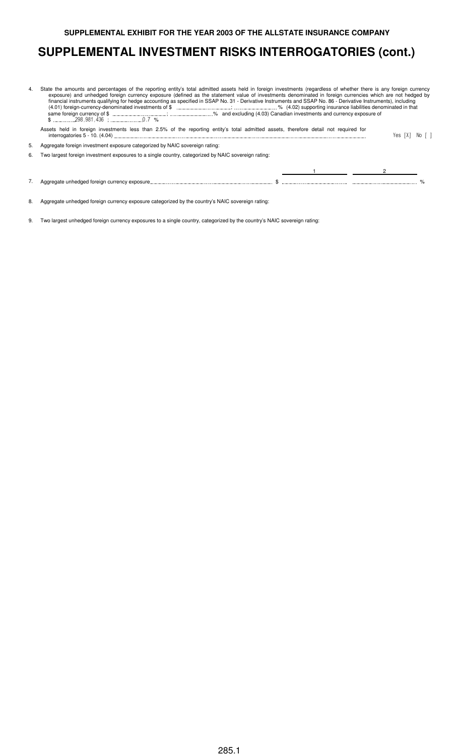#### **SUPPLEMENTAL EXHIBIT FOR THE YEAR 2003 OF THE ALLSTATE INSURANCE COMPANY**

## **SUPPLEMENTAL INVESTMENT RISKS INTERROGATORIES (cont.)**

| 4. | State the amounts and percentages of the reporting entity's total admitted assets held in foreign investments (regardless of whether there is any foreign currency<br>exposure) and unhedged foreign currency exposure (defined as the statement value of investments denominated in foreign currencies which are not hedged by<br>financial instruments qualifying for hedge accounting as specified in SSAP No. 31 - Derivative Instruments and SSAP No. 86 - Derivative Instruments), including<br>Assets held in foreign investments less than 2.5% of the reporting entity's total admitted assets, therefore detail not required for |
|----|--------------------------------------------------------------------------------------------------------------------------------------------------------------------------------------------------------------------------------------------------------------------------------------------------------------------------------------------------------------------------------------------------------------------------------------------------------------------------------------------------------------------------------------------------------------------------------------------------------------------------------------------|
|    | Yes [X] No [ ]                                                                                                                                                                                                                                                                                                                                                                                                                                                                                                                                                                                                                             |
| 5. | Aggregate foreign investment exposure categorized by NAIC sovereign rating:                                                                                                                                                                                                                                                                                                                                                                                                                                                                                                                                                                |
| 6. | Two largest foreign investment exposures to a single country, categorized by NAIC sovereign rating:                                                                                                                                                                                                                                                                                                                                                                                                                                                                                                                                        |
|    |                                                                                                                                                                                                                                                                                                                                                                                                                                                                                                                                                                                                                                            |
|    |                                                                                                                                                                                                                                                                                                                                                                                                                                                                                                                                                                                                                                            |
|    |                                                                                                                                                                                                                                                                                                                                                                                                                                                                                                                                                                                                                                            |

8. Aggregate unhedged foreign currency exposure categorized by the country's NAIC sovereign rating:

9. Two largest unhedged foreign currency exposures to a single country, categorized by the country's NAIC sovereign rating: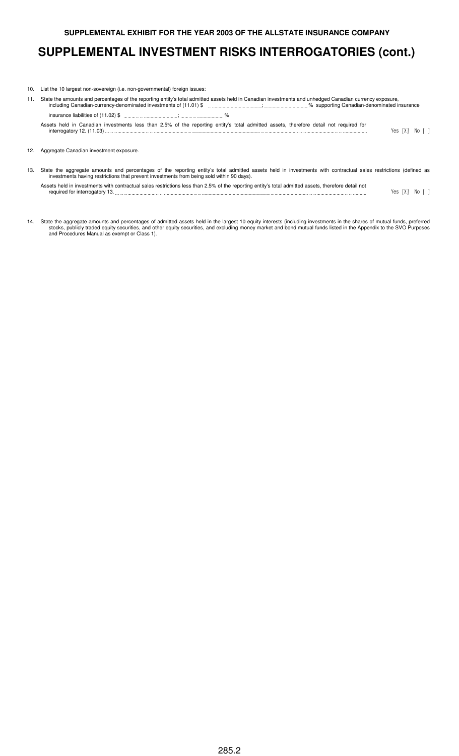10. List the 10 largest non-sovereign (i.e. non-governmental) foreign issues:

| 11. | State the amounts and percentages of the reporting entity's total admitted assets held in Canadian investments and unhedged Canadian currency exposure. |                |
|-----|---------------------------------------------------------------------------------------------------------------------------------------------------------|----------------|
|     |                                                                                                                                                         |                |
|     | Assets held in Canadian investments less than 2.5% of the reporting entity's total admitted assets, therefore detail not required for                   | Yes [X] No [ ] |
|     | 12. Aggregate Canadian investment exposure.                                                                                                             |                |

13. State the aggregate amounts and percentages of the reporting entity's total admitted assets held in investments with contractual sales restrictions (defined as investments having restrictions that prevent investments from being sold within 90 days).

| 11 C<br>nan<br>∩ The reu…<br>merer<br>าทหลด<br>PS⊺ric<br>sale<br>,,,,,,<br>. <b>.</b> . |                      |
|-----------------------------------------------------------------------------------------|----------------------|
| required<br>$-1$                                                                        | - No<br>v o c<br>ט י |

14. State the aggregate amounts and percentages of admitted assets held in the largest 10 equity interests (including investments in the shares of mutual funds, preferred stocks, publicly traded equity securities, and other equity securities, and excluding money market and bond mutual funds listed in the Appendix to the SVO Purposes and Procedures Manual as exempt or Class 1).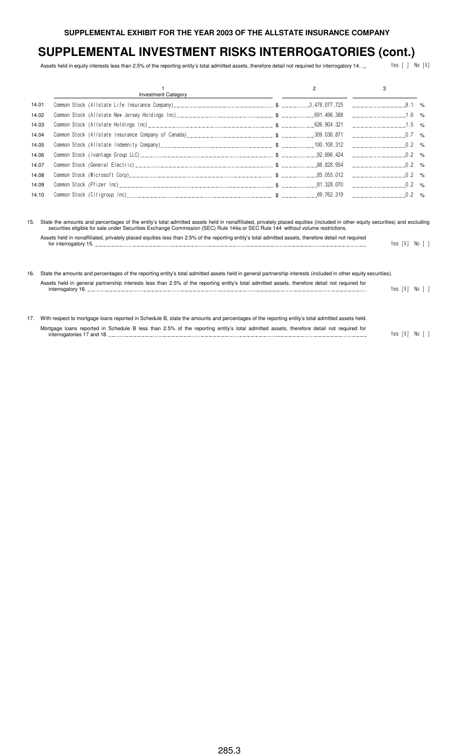Assets held in equity interests less than 2.5% of the reporting entity's total admitted assets, therefore detail not required for interrogatory 14. .... Yes [ ] No [X]

|       | <b>Investment Category</b> |  |  |
|-------|----------------------------|--|--|
| 14.01 |                            |  |  |
| 14.02 |                            |  |  |
| 14.03 |                            |  |  |
| 14.04 |                            |  |  |
| 14.05 |                            |  |  |
| 14.06 |                            |  |  |
| 14.07 |                            |  |  |
| 14.08 |                            |  |  |
| 14.09 |                            |  |  |
| 14.10 |                            |  |  |

15. State the amounts and percentages of the entity's total admitted assets held in nonaffiliated, privately placed equities (included in other equity securities) and excluding securities eligible for sale under Securities Exchange Commission (SEC) Rule 144a or SEC Rule 144 without volume restrictions.

| Assets held in nonaffiliated, privately placed equities less than 2.5% of the reporting entity's total admitted assets, therefore detail not required |         |    |  |
|-------------------------------------------------------------------------------------------------------------------------------------------------------|---------|----|--|
| for interrogatory 15                                                                                                                                  | Yes IXI | No |  |
|                                                                                                                                                       |         |    |  |
|                                                                                                                                                       |         |    |  |
|                                                                                                                                                       |         |    |  |

16. State the amounts and percentages of the reporting entity's total admitted assets held in general partnership interests (included in other equity securities). Assets held in general partnership interests less than 2.5% of the reporting entity's total admitted assets, therefore detail not required for interrogatory 16. )' <=> < >

| 17. With respect to mortgage loans reported in Schedule B, state the amounts and percentages of the reporting entity's total admitted assets held. |              |  |
|----------------------------------------------------------------------------------------------------------------------------------------------------|--------------|--|
| Mortgage loans reported in Schedule B less than 2.5% of the reporting entity's total admitted assets, therefore detail not required for            |              |  |
| interrogatories 17 and 18.                                                                                                                         | Yes [X] No [ |  |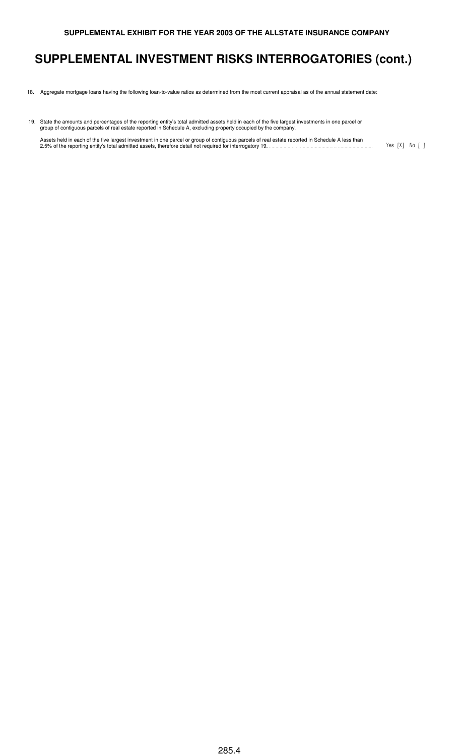- 18. Aggregate mortgage loans having the following loan-to-value ratios as determined from the most current appraisal as of the annual statement date:
- 19. State the amounts and percentages of the reporting entity's total admitted assets held in each of the five largest investments in one parcel or group of contiguous parcels of real estate reported in Schedule A, excluding property occupied by the company.
	- Assets held in each of the five largest investment in one parcel or group of contiguous parcels of real estate reported in Schedule A less than<br>2.5% of the reporting entity's total admitted assets, therefore detail not req